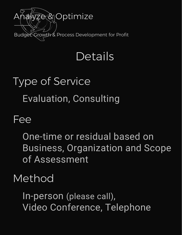

## Details

# Type of Service Evaluation, Consulting

#### Fee

One-time or residual based on Business, Organization and Scope of Assessment

#### Method

In-person (please call), Video Conference, Telephone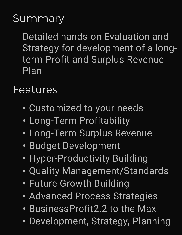#### **Summary**

Detailed hands-on Evaluation and Strategy for development of a longterm Profit and Surplus Revenue Plan

Features

- Customized to your needs
- Long-Term Profitability
- Long-Term Surplus Revenue
- Budget Development
- Hyper-Productivity Building
- Quality Management/Standards
- Future Growth Building
- Advanced Process Strategies
- BusinessProfit2.2 to the Max
- Development, Strategy, Planning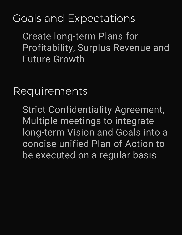### Goals and Expectations

Create long-term Plans for Profitability, Surplus Revenue and Future Growth

Requirements

Strict Confidentiality Agreement, Multiple meetings to integrate long-term Vision and Goals into a concise unified Plan of Action to be executed on a regular basis